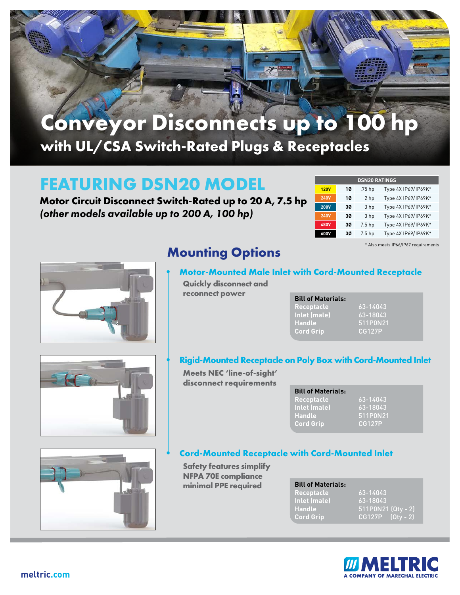

# **Conveyor Disconnects up to 100 hp with UL/CSA Switch-Rated Plugs & Receptacles**

### **FEATURING DSN20 MODEL**

**Motor Circuit Disconnect Switch-Rated up to 20 A, 7.5 hp** *(other models available up to 200 A, 100 hp)*

| <b>DSN20 RATINGS</b> |    |                   |                     |  |  |
|----------------------|----|-------------------|---------------------|--|--|
| <b>120V</b>          | 10 | .75 hp            | Type 4X IP69/IP69K* |  |  |
| <b>240V</b>          | 1Ø | 2 hp              | Type 4X IP69/IP69K* |  |  |
| <b>208V</b>          | 30 | 3 hp              | Type 4X IP69/IP69K* |  |  |
| <b>240V</b>          | 30 | 3 hp              | Type 4X IP69/IP69K* |  |  |
| 480V                 | 30 | 7.5 <sub>hp</sub> | Type 4X IP69/IP69K* |  |  |
| 600V                 | 30 | 7.5 <sub>hp</sub> | Type 4X IP69/IP69K* |  |  |

\* Also meets IP66/IP67 requirements



### **Mounting Options**

### **• Motor-Mounted Male Inlet with Cord-Mounted Receptacle**

**Quickly disconnect and reconnect power**

| <b>Bill of Materials:</b> |          |
|---------------------------|----------|
| <b>Receptacle</b>         | 63-14043 |
| Inlet (male)              | 3-18043، |
| Handle                    | 511P0N21 |
| <b>Cord Grip</b>          | CG127P   |

#### **• Rigid-Mounted Receptacle on Poly Box with Cord-Mounted Inlet**

**Meets NEC 'line-of-sight' disconnect requirements**

| <b>Bill of Materials:</b> |               |
|---------------------------|---------------|
| Receptacle                | $-63 - 14043$ |
| Inlet (male)              | 63-18043      |
| <b>Handle</b>             | 511P0N21      |
| <b>Cord Grip</b>          | CG127P        |

#### **• Cord-Mounted Receptacle with Cord-Mounted Inlet**

**Safety features simplify NFPA 70E compliance minimal PPE required**

| <b>Bill of Materials:</b> |                      |
|---------------------------|----------------------|
| <b>Receptacle</b>         | 63-14043             |
| Inlet (male)              | $63 - 18043$         |
| <b>Handle</b>             | $511P0N21$ (Qty - 2) |
| <b>Cord Grip</b>          | $CG127P$ $(Qtv - 2)$ |